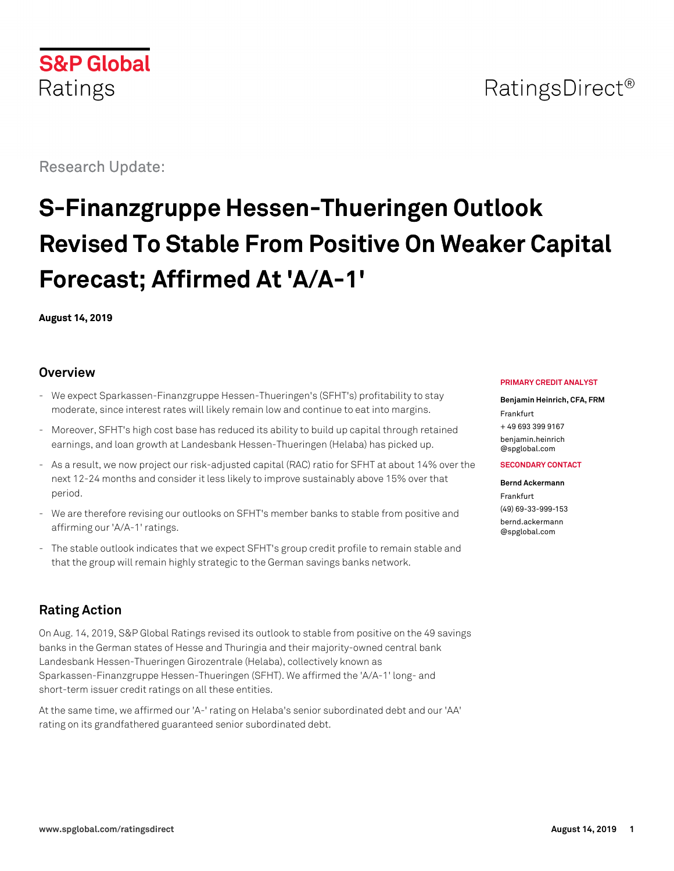

# RatingsDirect<sup>®</sup>

Research Update:

# **S-Finanzgruppe Hessen-Thueringen Outlook Revised To Stable From Positive On Weaker Capital Forecast; Affirmed At 'A/A-1'**

**August 14, 2019**

#### **Overview**

- We expect Sparkassen-Finanzgruppe Hessen-Thueringen's (SFHT's) profitability to stay moderate, since interest rates will likely remain low and continue to eat into margins.
- Moreover, SFHT's high cost base has reduced its ability to build up capital through retained earnings, and loan growth at Landesbank Hessen-Thueringen (Helaba) has picked up.
- As a result, we now project our risk-adjusted capital (RAC) ratio for SFHT at about 14% over the next 12-24 months and consider it less likely to improve sustainably above 15% over that period.
- We are therefore revising our outlooks on SFHT's member banks to stable from positive and affirming our 'A/A-1' ratings.
- The stable outlook indicates that we expect SFHT's group credit profile to remain stable and that the group will remain highly strategic to the German savings banks network.

# **Rating Action**

On Aug. 14, 2019, S&P Global Ratings revised its outlook to stable from positive on the 49 savings banks in the German states of Hesse and Thuringia and their majority-owned central bank Landesbank Hessen-Thueringen Girozentrale (Helaba), collectively known as Sparkassen-Finanzgruppe Hessen-Thueringen (SFHT). We affirmed the 'A/A-1' long- and short-term issuer credit ratings on all these entities.

At the same time, we affirmed our 'A-' rating on Helaba's senior subordinated debt and our 'AA' rating on its grandfathered guaranteed senior subordinated debt.

#### **PRIMARY CREDIT ANALYST**

**Benjamin Heinrich, CFA, FRM** Frankfurt + 49 693 399 9167 [benjamin.heinrich](mailto:benjamin.heinrich@spglobal.com) [@spglobal.com](mailto:benjamin.heinrich@spglobal.com)

#### **SECONDARY CONTACT**

**Bernd Ackermann** Frankfurt (49) 69-33-999-153 [bernd.ackermann](mailto:bernd.ackermann@spglobal.com) [@spglobal.com](mailto:bernd.ackermann@spglobal.com)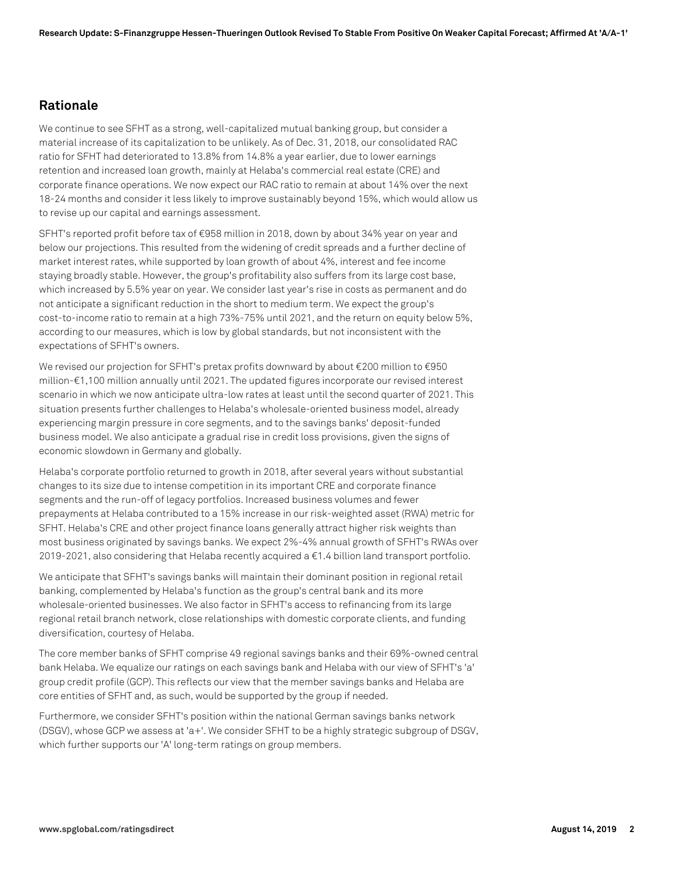#### **Rationale**

We continue to see SFHT as a strong, well-capitalized mutual banking group, but consider a material increase of its capitalization to be unlikely. As of Dec. 31, 2018, our consolidated RAC ratio for SFHT had deteriorated to 13.8% from 14.8% a year earlier, due to lower earnings retention and increased loan growth, mainly at Helaba's commercial real estate (CRE) and corporate finance operations. We now expect our RAC ratio to remain at about 14% over the next 18-24 months and consider it less likely to improve sustainably beyond 15%, which would allow us to revise up our capital and earnings assessment.

SFHT's reported profit before tax of €958 million in 2018, down by about 34% year on year and below our projections. This resulted from the widening of credit spreads and a further decline of market interest rates, while supported by loan growth of about 4%, interest and fee income staying broadly stable. However, the group's profitability also suffers from its large cost base, which increased by 5.5% year on year. We consider last year's rise in costs as permanent and do not anticipate a significant reduction in the short to medium term. We expect the group's cost-to-income ratio to remain at a high 73%-75% until 2021, and the return on equity below 5%, according to our measures, which is low by global standards, but not inconsistent with the expectations of SFHT's owners.

We revised our projection for SFHT's pretax profits downward by about €200 million to €950 million-€1,100 million annually until 2021. The updated figures incorporate our revised interest scenario in which we now anticipate ultra-low rates at least until the second quarter of 2021. This situation presents further challenges to Helaba's wholesale-oriented business model, already experiencing margin pressure in core segments, and to the savings banks' deposit-funded business model. We also anticipate a gradual rise in credit loss provisions, given the signs of economic slowdown in Germany and globally.

Helaba's corporate portfolio returned to growth in 2018, after several years without substantial changes to its size due to intense competition in its important CRE and corporate finance segments and the run-off of legacy portfolios. Increased business volumes and fewer prepayments at Helaba contributed to a 15% increase in our risk-weighted asset (RWA) metric for SFHT. Helaba's CRE and other project finance loans generally attract higher risk weights than most business originated by savings banks. We expect 2%-4% annual growth of SFHT's RWAs over 2019-2021, also considering that Helaba recently acquired a €1.4 billion land transport portfolio.

We anticipate that SFHT's savings banks will maintain their dominant position in regional retail banking, complemented by Helaba's function as the group's central bank and its more wholesale-oriented businesses. We also factor in SFHT's access to refinancing from its large regional retail branch network, close relationships with domestic corporate clients, and funding diversification, courtesy of Helaba.

The core member banks of SFHT comprise 49 regional savings banks and their 69%-owned central bank Helaba. We equalize our ratings on each savings bank and Helaba with our view of SFHT's 'a' group credit profile (GCP). This reflects our view that the member savings banks and Helaba are core entities of SFHT and, as such, would be supported by the group if needed.

Furthermore, we consider SFHT's position within the national German savings banks network (DSGV), whose GCP we assess at 'a+'. We consider SFHT to be a highly strategic subgroup of DSGV, which further supports our 'A' long-term ratings on group members.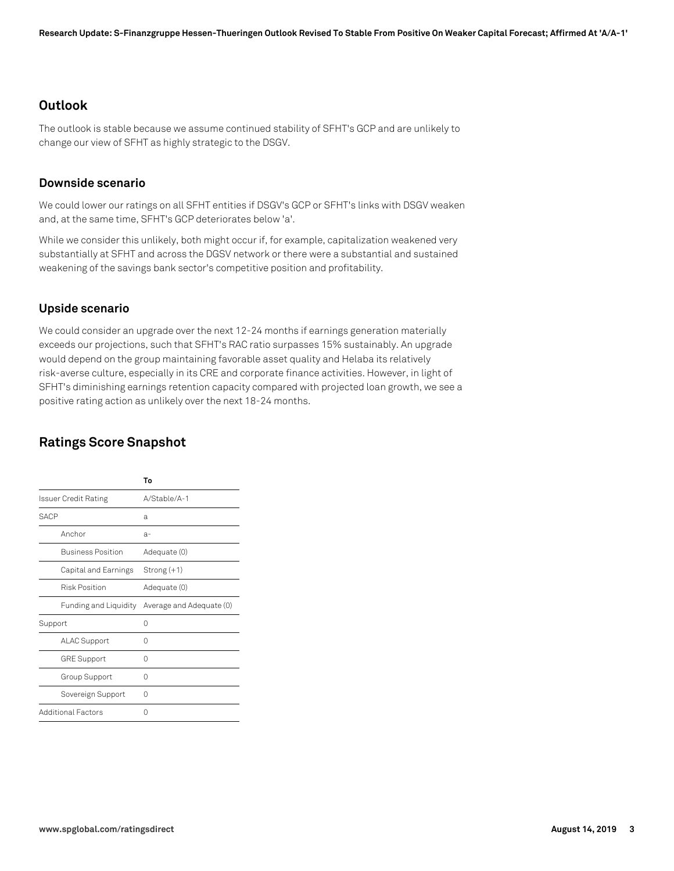#### **Outlook**

The outlook is stable because we assume continued stability of SFHT's GCP and are unlikely to change our view of SFHT as highly strategic to the DSGV.

#### **Downside scenario**

We could lower our ratings on all SFHT entities if DSGV's GCP or SFHT's links with DSGV weaken and, at the same time, SFHT's GCP deteriorates below 'a'.

While we consider this unlikely, both might occur if, for example, capitalization weakened very substantially at SFHT and across the DGSV network or there were a substantial and sustained weakening of the savings bank sector's competitive position and profitability.

#### **Upside scenario**

We could consider an upgrade over the next 12-24 months if earnings generation materially exceeds our projections, such that SFHT's RAC ratio surpasses 15% sustainably. An upgrade would depend on the group maintaining favorable asset quality and Helaba its relatively risk-averse culture, especially in its CRE and corporate finance activities. However, in light of SFHT's diminishing earnings retention capacity compared with projected loan growth, we see a positive rating action as unlikely over the next 18-24 months.

# **Ratings Score Snapshot**

|                           | To                       |
|---------------------------|--------------------------|
| Issuer Credit Rating      | A/Stable/A-1             |
| <b>SACP</b>               | a                        |
| Anchor                    | $a-$                     |
| <b>Business Position</b>  | Adequate (0)             |
| Capital and Earnings      | Strong (+1)              |
| <b>Risk Position</b>      | Adequate (0)             |
| Funding and Liquidity     | Average and Adequate (0) |
| Support                   | Ω                        |
| <b>ALAC Support</b>       | Ω                        |
| <b>GRE Support</b>        | 0                        |
| Group Support             | Ω                        |
| Sovereign Support         | 0                        |
| <b>Additional Factors</b> | Ω                        |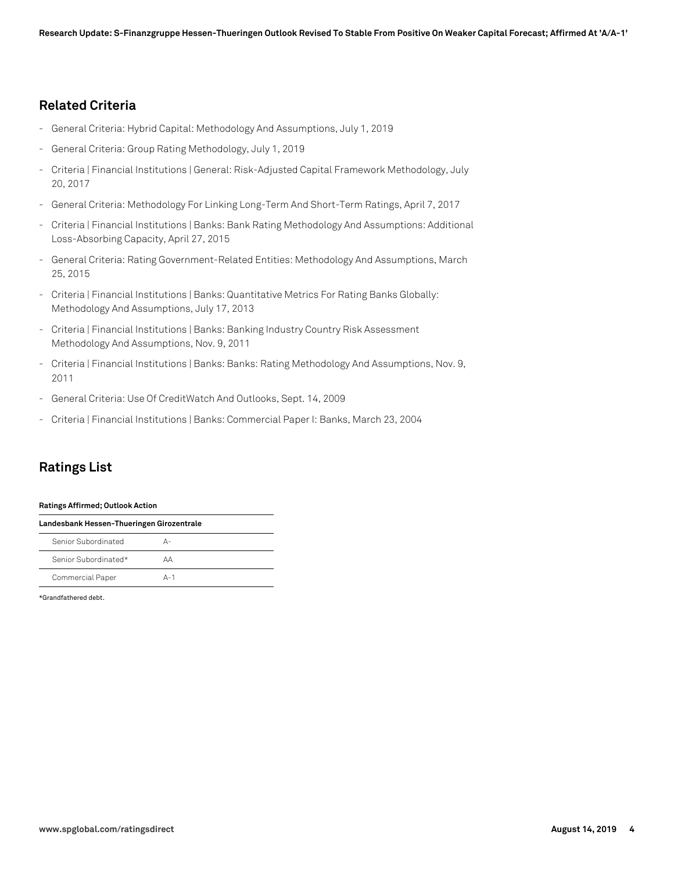### **Related Criteria**

- General Criteria: Hybrid Capital: Methodology And Assumptions, July 1, 2019
- General Criteria: Group Rating Methodology, July 1, 2019
- Criteria | Financial Institutions | General: Risk-Adjusted Capital Framework Methodology, July 20, 2017
- General Criteria: Methodology For Linking Long-Term And Short-Term Ratings, April 7, 2017
- Criteria | Financial Institutions | Banks: Bank Rating Methodology And Assumptions: Additional Loss-Absorbing Capacity, April 27, 2015
- General Criteria: Rating Government-Related Entities: Methodology And Assumptions, March 25, 2015
- Criteria | Financial Institutions | Banks: Quantitative Metrics For Rating Banks Globally: Methodology And Assumptions, July 17, 2013
- Criteria | Financial Institutions | Banks: Banking Industry Country Risk Assessment Methodology And Assumptions, Nov. 9, 2011
- Criteria | Financial Institutions | Banks: Banks: Rating Methodology And Assumptions, Nov. 9, 2011
- General Criteria: Use Of CreditWatch And Outlooks, Sept. 14, 2009
- Criteria | Financial Institutions | Banks: Commercial Paper I: Banks, March 23, 2004

# **Ratings List**

#### **Ratings Affirmed; Outlook Action**

| Landesbank Hessen-Thueringen Girozentrale |         |  |
|-------------------------------------------|---------|--|
| Senior Subordinated                       | Δ-      |  |
| Senior Subordinated*                      | АΑ      |  |
| Commercial Paper                          | $A - 1$ |  |

\*Grandfathered debt.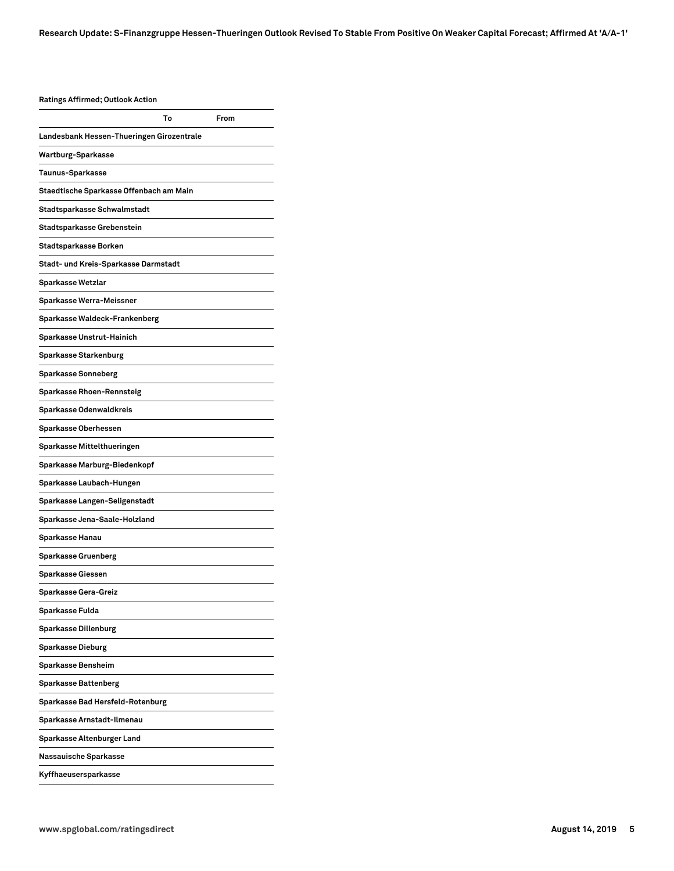#### **Ratings Affirmed; Outlook Action**

| natiligə Allilliley, Uyttoon Actioli      |    |      |
|-------------------------------------------|----|------|
|                                           | To | From |
| Landesbank Hessen-Thueringen Girozentrale |    |      |
| Wartburg-Sparkasse                        |    |      |
| Taunus-Sparkasse                          |    |      |
| Staedtische Sparkasse Offenbach am Main   |    |      |
| Stadtsparkasse Schwalmstadt               |    |      |
| Stadtsparkasse Grebenstein                |    |      |
| Stadtsparkasse Borken                     |    |      |
| Stadt- und Kreis-Sparkasse Darmstadt      |    |      |
| Sparkasse Wetzlar                         |    |      |
| Sparkasse Werra-Meissner                  |    |      |
| Sparkasse Waldeck-Frankenberg             |    |      |
| Sparkasse Unstrut-Hainich                 |    |      |
| Sparkasse Starkenburg                     |    |      |
| Sparkasse Sonneberg                       |    |      |
| Sparkasse Rhoen-Rennsteig                 |    |      |
| Sparkasse Odenwaldkreis                   |    |      |
| Sparkasse Oberhessen                      |    |      |
| Sparkasse Mittelthueringen                |    |      |
| Sparkasse Marburg-Biedenkopf              |    |      |
| Sparkasse Laubach-Hungen                  |    |      |
| Sparkasse Langen-Seligenstadt             |    |      |
| Sparkasse Jena-Saale-Holzland             |    |      |
| Sparkasse Hanau                           |    |      |
| Sparkasse Gruenberg                       |    |      |
| Sparkasse Giessen                         |    |      |
| Sparkasse Gera-Greiz                      |    |      |
| Sparkasse Fulda                           |    |      |
| Sparkasse Dillenburg                      |    |      |
| Sparkasse Dieburg                         |    |      |
| Sparkasse Bensheim                        |    |      |
| Sparkasse Battenberg                      |    |      |
| Sparkasse Bad Hersfeld-Rotenburg          |    |      |
| Sparkasse Arnstadt-Ilmenau                |    |      |
| Sparkasse Altenburger Land                |    |      |
| Nassauische Sparkasse                     |    |      |
| Kyffhaeusersparkasse                      |    |      |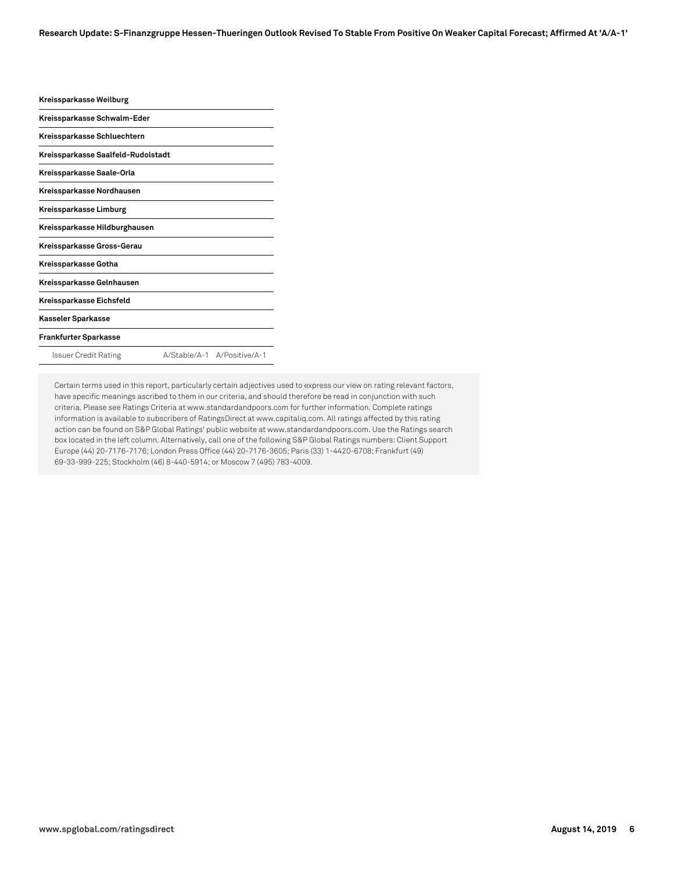| Kreissparkasse Weilburg            |                             |
|------------------------------------|-----------------------------|
| Kreissparkasse Schwalm-Eder        |                             |
| Kreissparkasse Schluechtern        |                             |
| Kreissparkasse Saalfeld-Rudolstadt |                             |
| Kreissparkasse Saale-Orla          |                             |
| Kreissparkasse Nordhausen          |                             |
| Kreissparkasse Limburg             |                             |
| Kreissparkasse Hildburghausen      |                             |
| Kreissparkasse Gross-Gerau         |                             |
| Kreissparkasse Gotha               |                             |
| Kreissparkasse Gelnhausen          |                             |
| Kreissparkasse Eichsfeld           |                             |
| Kasseler Sparkasse                 |                             |
| Frankfurter Sparkasse              |                             |
| Issuer Credit Rating               | A/Stable/A-1 A/Positive/A-1 |

Certain terms used in this report, particularly certain adjectives used to express our view on rating relevant factors, have specific meanings ascribed to them in our criteria, and should therefore be read in conjunction with such criteria. Please see Ratings Criteria at www.standardandpoors.com for further information. Complete ratings information is available to subscribers of RatingsDirect at www.capitaliq.com. All ratings affected by this rating action can be found on S&P Global Ratings' public website at www.standardandpoors.com. Use the Ratings search box located in the left column. Alternatively, call one of the following S&P Global Ratings numbers: Client Support Europe (44) 20-7176-7176; London Press Office (44) 20-7176-3605; Paris (33) 1-4420-6708; Frankfurt (49) 69-33-999-225; Stockholm (46) 8-440-5914; or Moscow 7 (495) 783-4009.